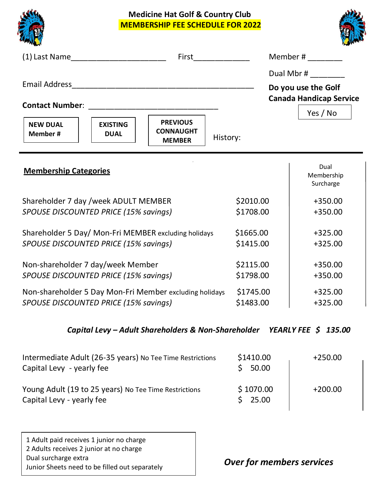**Medicine Hat Golf & Country Club MEMBERSHIP FEE SCHEDULE FOR 2022**





|                                                         |                                |                                                      |           | Member # $\frac{1}{2}$                                                          |
|---------------------------------------------------------|--------------------------------|------------------------------------------------------|-----------|---------------------------------------------------------------------------------|
| <b>NEW DUAL</b><br><b>Member#</b>                       | <b>EXISTING</b><br><b>DUAL</b> | <b>PREVIOUS</b><br><b>CONNAUGHT</b><br><b>MEMBER</b> | History:  | Dual Mbr #<br>Do you use the Golf<br><b>Canada Handicap Service</b><br>Yes / No |
| <b>Membership Categories</b>                            |                                |                                                      |           | Dual<br>Membership<br>Surcharge                                                 |
| Shareholder 7 day / week ADULT MEMBER                   |                                |                                                      | \$2010.00 | $+350.00$                                                                       |
| SPOUSE DISCOUNTED PRICE (15% savings)                   |                                |                                                      | \$1708.00 | $+350.00$                                                                       |
| Shareholder 5 Day/ Mon-Fri MEMBER excluding holidays    |                                |                                                      | \$1665.00 | $+325.00$                                                                       |
| SPOUSE DISCOUNTED PRICE (15% savings)                   |                                |                                                      | \$1415.00 | $+325.00$                                                                       |
| Non-shareholder 7 day/week Member                       |                                |                                                      | \$2115.00 | $+350.00$                                                                       |
| SPOUSE DISCOUNTED PRICE (15% savings)                   |                                |                                                      | \$1798.00 | +350.00                                                                         |
| Non-shareholder 5 Day Mon-Fri Member excluding holidays |                                |                                                      | \$1745.00 | $+325.00$                                                                       |
| SPOUSE DISCOUNTED PRICE (15% savings)                   |                                |                                                      | \$1483.00 | $+325.00$                                                                       |

## *Capital Levy – Adult Shareholders & Non-Shareholder YEARLY FEE \$ 135.00*

| Intermediate Adult (26-35 years) No Tee Time Restrictions<br>Capital Levy - yearly fee | \$1410.00<br>50.00 | $+250.00$ |
|----------------------------------------------------------------------------------------|--------------------|-----------|
| Young Adult (19 to 25 years) No Tee Time Restrictions<br>Capital Levy - yearly fee     | \$1070.00<br>25.00 | $+200.00$ |

1 Adult paid receives 1 junior no charge 2 Adults receives 2 junior at no charge Dual surcharge extra Junior Sheets need to be filled out separately

*Over for members services*